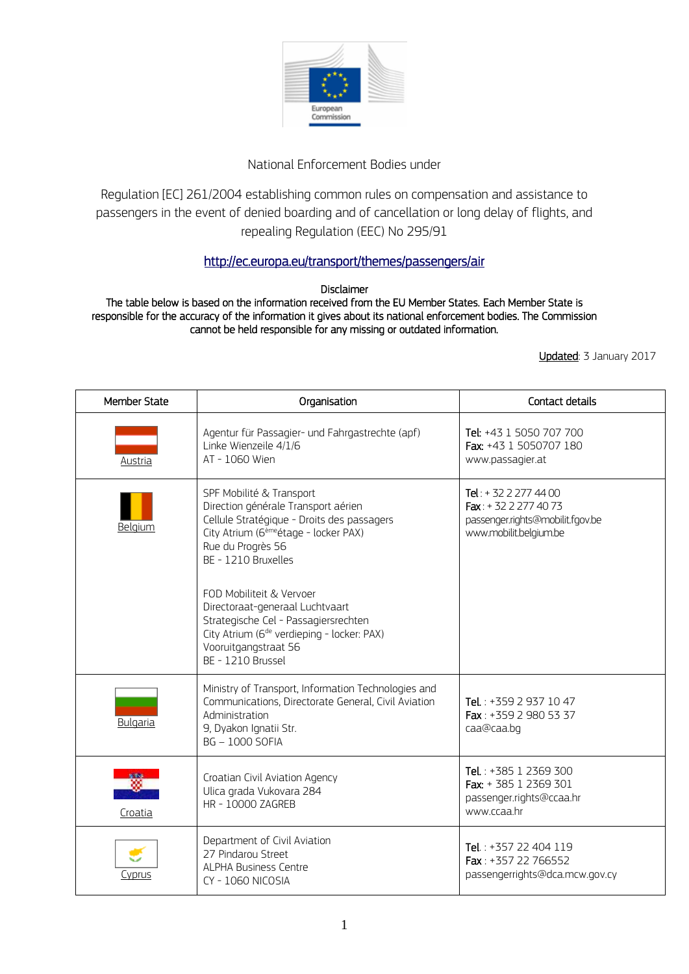

## National Enforcement Bodies under

Regulation [EC] 261/2004 establishing common rules on compensation and assistance to passengers in the event of denied boarding and of cancellation or long delay of flights, and repealing Regulation (EEC) No 295/91

## <http://ec.europa.eu/transport/themes/passengers/air>

Disclaimer

The table below is based on the information received from the EU Member States. Each Member State is responsible for the accuracy of the information it gives about its national enforcement bodies. The Commission cannot be held responsible for any missing or outdated information.

Updated: 3 January 2017

| <b>Member State</b> | Organisation                                                                                                                                                                                                                                                                                                                                                                                                                 | Contact details                                                                                             |
|---------------------|------------------------------------------------------------------------------------------------------------------------------------------------------------------------------------------------------------------------------------------------------------------------------------------------------------------------------------------------------------------------------------------------------------------------------|-------------------------------------------------------------------------------------------------------------|
| Austria             | Agentur für Passagier- und Fahrgastrechte (apf)<br>Linke Wienzeile 4/1/6<br>AT - 1060 Wien                                                                                                                                                                                                                                                                                                                                   | Tel: +43 1 5050 707 700<br>Fax: +43 1 5050707 180<br>www.passagier.at                                       |
| Belaium             | SPF Mobilité & Transport<br>Direction générale Transport aérien<br>Cellule Stratégique - Droits des passagers<br>City Atrium (6 <sup>ème</sup> étage - locker PAX)<br>Rue du Progrès 56<br>BE - 1210 Bruxelles<br>FOD Mobiliteit & Vervoer<br>Directoraat-generaal Luchtvaart<br>Strategische Cel - Passagiersrechten<br>City Atrium (6 <sup>de</sup> verdieping - locker: PAX)<br>Vooruitgangstraat 56<br>BE - 1210 Brussel | Tel: + 32 2 277 44 00<br>Fax: +32 2 277 40 73<br>passenger.rights@mobilit.fgov.be<br>www.mobilit.belgium.be |
| Bulgaria            | Ministry of Transport, Information Technologies and<br>Communications, Directorate General, Civil Aviation<br>Administration<br>9, Dyakon Ignatii Str.<br><b>BG-1000 SOFIA</b>                                                                                                                                                                                                                                               | Tel.: $+35929371047$<br>Fax: +359 2 980 53 37<br>caa@caa.bq                                                 |
| Croatia             | Croatian Civil Aviation Agency<br>Ulica grada Vukovara 284<br>HR - 10000 ZAGREB                                                                                                                                                                                                                                                                                                                                              | Tel.: +385 1 2369 300<br>Fax: + 385 1 2369 301<br>passenger.rights@ccaa.hr<br>www.ccaa.hr                   |
| Cyprus              | Department of Civil Aviation<br>27 Pindarou Street<br><b>ALPHA Business Centre</b><br>CY-1060 NICOSIA                                                                                                                                                                                                                                                                                                                        | Tel.: +357 22 404 119<br>Fax: +357 22 766552<br>passengerrights@dca.mcw.gov.cy                              |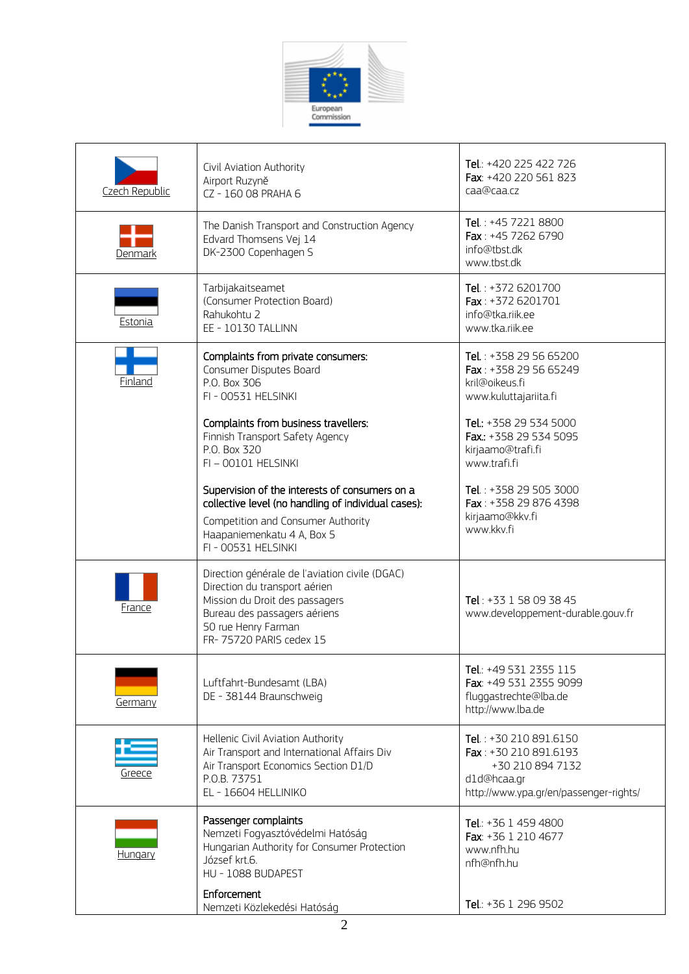

| Czech Republic | Civil Aviation Authority<br>Airport Ruzyně<br>CZ - 160 08 PRAHA 6                                                                                                                                   | Tel.: +420 225 422 726<br>Fax: +420 220 561 823<br>caa@caa.cz                                                                |
|----------------|-----------------------------------------------------------------------------------------------------------------------------------------------------------------------------------------------------|------------------------------------------------------------------------------------------------------------------------------|
| Denmark        | The Danish Transport and Construction Agency<br>Edvard Thomsens Vej 14<br>DK-2300 Copenhagen S                                                                                                      | Tel.: +45 7221 8800<br>Fax: +45 7262 6790<br>info@thst.dk<br>www.tbst.dk                                                     |
| Estonia        | Tarbijakaitseamet<br>(Consumer Protection Board)<br>Rahukohtu 2<br>EE - 10130 TALLINN                                                                                                               | Tel.: +372 6201700<br>Fax: $+3726201701$<br>info@tka.riik.ee<br>www.tka.riik.ee                                              |
| Finland        | Complaints from private consumers:<br>Consumer Disputes Board<br>P.O. Box 306<br>FI - 00531 HELSINKI                                                                                                | Tel.: +358 29 56 65200<br>Fax: +358 29 56 65249<br>kril@oikeus.fi<br>www.kuluttajariita.fi                                   |
|                | Complaints from business travellers:<br>Finnish Transport Safety Agency<br>P.O. Box 320<br>FI-00101 HELSINKI                                                                                        | Tel.: +358 29 534 5000<br>Fax.: +358 29 534 5095<br>kirjaamo@trafi.fi<br>www.trafi.fi                                        |
|                | Supervision of the interests of consumers on a<br>collective level (no handling of individual cases):<br>Competition and Consumer Authority<br>Haapaniemenkatu 4 A, Box 5<br>FI - 00531 HELSINKI    | Tel.: +358 29 505 3000<br>Fax: +358 29 876 4398<br>kirjaamo@kkv.fi<br>www.kkv.fi                                             |
| France         | Direction générale de l'aviation civile (DGAC)<br>Direction du transport aérien<br>Mission du Droit des passagers<br>Bureau des passagers aériens<br>50 rue Henry Farman<br>FR-75720 PARIS cedex 15 | Tel: +33 1 58 09 38 45<br>www.developpement-durable.gouv.fr                                                                  |
| Germany        | Luftfahrt-Bundesamt (LBA)<br>DE - 38144 Braunschweig                                                                                                                                                | Tel.: +49 531 2355 115<br>Fax: +49 531 2355 9099<br>fluggastrechte@lba.de<br>http://www.lba.de                               |
| Greece         | Hellenic Civil Aviation Authority<br>Air Transport and International Affairs Div<br>Air Transport Economics Section D1/D<br>P.O.B. 73751<br>EL - 16604 HELLINIKO                                    | Tel.: +30 210 891.6150<br>Fax: +30 210 891.6193<br>+30 210 894 7132<br>d1d@hcaa.gr<br>http://www.ypa.gr/en/passenger-rights/ |
| Hungary        | Passenger complaints<br>Nemzeti Fogyasztóvédelmi Hatóság<br>Hungarian Authority for Consumer Protection<br>József krt.6.<br>HU - 1088 BUDAPEST                                                      | Tel.: +36 1 459 4800<br>Fax: +36 1 210 4677<br>www.nfh.hu<br>nfh@nfh.hu                                                      |
|                | Enforcement<br>Nemzeti Közlekedési Hatóság                                                                                                                                                          | Tel.: +36 1 296 9502                                                                                                         |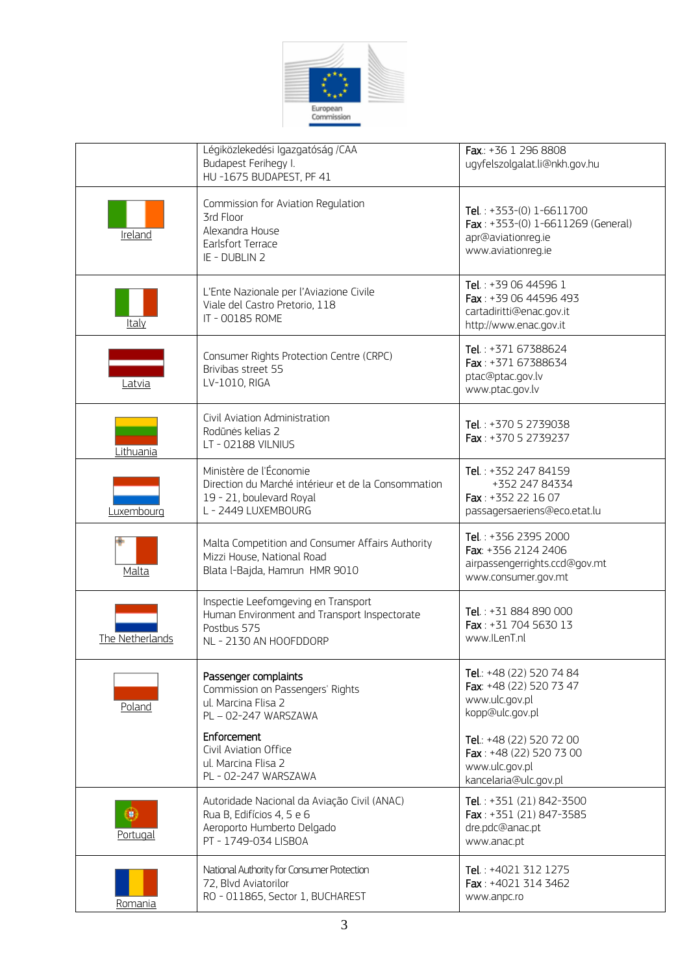

|                       | Légiközlekedési Igazgatóság /CAA<br>Budapest Ferihegy I.<br>HU-1675 BUDAPEST, PF 41                                               | Fax.: +36 1 296 8808<br>ugyfelszolgalat.li@nkh.gov.hu                                                       |
|-----------------------|-----------------------------------------------------------------------------------------------------------------------------------|-------------------------------------------------------------------------------------------------------------|
| Ireland               | Commission for Aviation Regulation<br>3rd Floor<br>Alexandra House<br><b>Earlsfort Terrace</b><br>IE - DUBLIN 2                   | Tel.: $+353-(0)$ 1-6611700<br>Fax: +353-(0) 1-6611269 (General)<br>apr@aviationreg.ie<br>www.aviationreq.ie |
| Italy                 | L'Ente Nazionale per l'Aviazione Civile<br>Viale del Castro Pretorio, 118<br>IT - 00185 ROME                                      | Tel.: +39 06 44596 1<br>Fax: +39 06 44596 493<br>cartadiritti@enac.gov.it<br>http://www.enac.gov.it         |
| Latvia                | Consumer Rights Protection Centre (CRPC)<br>Brivibas street 55<br>LV-1010, RIGA                                                   | Tel.: +371 67388624<br>Fax: $+37167388634$<br>ptac@ptac.gov.lv<br>www.ptac.gov.lv                           |
| Lithuania             | Civil Aviation Administration<br>Rodūnės kelias 2<br>LT - 02188 VILNIUS                                                           | Tel.: +370 5 2739038<br>Fax: +370 5 2739237                                                                 |
| Luxembourg            | Ministère de l'Économie<br>Direction du Marché intérieur et de la Consommation<br>19 - 21, boulevard Royal<br>L - 2449 LUXEMBOURG | Tel.: +352 247 84159<br>+352 247 84334<br>Fax: +352 22 16 07<br>passagersaeriens@eco.etat.lu                |
| Malta                 | Malta Competition and Consumer Affairs Authority<br>Mizzi House, National Road<br>Blata l-Bajda, Hamrun HMR 9010                  | Tel.: +356 2395 2000<br>Fax: +356 2124 2406<br>airpassengerrights.ccd@gov.mt<br>www.consumer.gov.mt         |
| The Netherlands       | Inspectie Leefomgeving en Transport<br>Human Environment and Transport Inspectorate<br>Postbus 575<br>NL - 2130 AN HOOFDDORP      | Tel.: +31 884 890 000<br>Fax: +31 704 5630 13<br>www.ILenT.nl                                               |
| Poland                | Passenger complaints<br>Commission on Passengers' Rights<br>ul. Marcina Flisa 2<br>PL - 02-247 WARSZAWA                           | Tel.: +48 (22) 520 74 84<br>Fax: +48 (22) 520 73 47<br>www.ulc.gov.pl<br>kopp@ulc.gov.pl                    |
|                       | Enforcement<br>Civil Aviation Office<br>ul. Marcina Flisa 2<br>PL - 02-247 WARSZAWA                                               | Tel.: +48 (22) 520 72 00<br>Fax: +48 (22) 520 73 00<br>www.ulc.gov.pl<br>kancelaria@ulc.gov.pl              |
| 9)<br><b>Portugal</b> | Autoridade Nacional da Aviação Civil (ANAC)<br>Rua B, Edifícios 4, 5 e 6<br>Aeroporto Humberto Delgado<br>PT - 1749-034 LISBOA    | Tel.: +351 (21) 842-3500<br>Fax: +351 (21) 847-3585<br>dre.pdc@anac.pt<br>www.anac.pt                       |
| Romania               | National Authority for Consumer Protection<br>72, Blvd Aviatorilor<br>RO - 011865, Sector 1, BUCHAREST                            | Tel.: +4021 312 1275<br>Fax: $+4021$ 314 3462<br>www.anpc.ro                                                |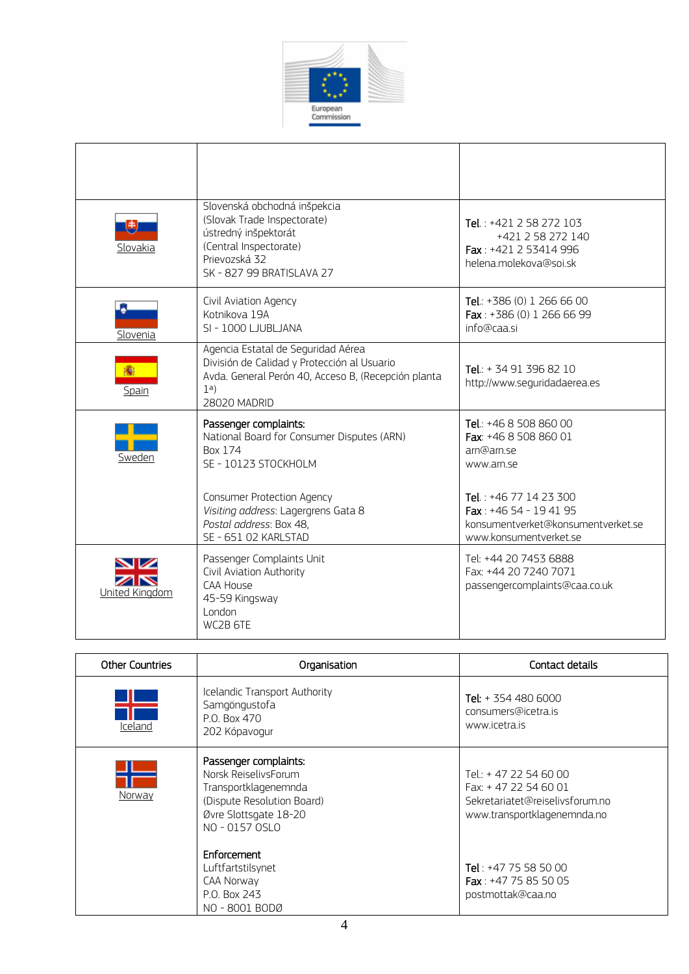

| Slovakia       | Slovenská obchodná inšpekcia<br>(Slovak Trade Inspectorate)<br>ústredný inšpektorát<br>(Central Inspectorate)<br>Prievozská 32<br>SK - 827 99 BRATISLAVA 27     | Tel.: $+421$ 2 58 272 103<br>+421 2 58 272 140<br>Fax: +421 2 53414 996<br>helena.molekova@soi.sk               |
|----------------|-----------------------------------------------------------------------------------------------------------------------------------------------------------------|-----------------------------------------------------------------------------------------------------------------|
| Slovenia       | Civil Aviation Agency<br>Kotnikova 19A<br>SI - 1000 LJUBLJANA                                                                                                   | Tel.: $+386(0)$ 1 266 66 00<br>Fax: $+386(0)$ 1 266 66 99<br>info@caasi                                         |
| 癟<br>Spain     | Agencia Estatal de Seguridad Aérea<br>División de Calidad y Protección al Usuario<br>Avda. General Perón 40, Acceso B, (Recepción planta<br>1a)<br>28020 MADRID | Tel.: + 34 91 396 82 10<br>http://www.seguridadaerea.es                                                         |
| Sweden         | Passenger complaints:<br>National Board for Consumer Disputes (ARN)<br><b>Box 174</b><br>SE - 10123 STOCKHOLM                                                   | Tel.: +46 8 508 860 00<br>Fax: +46 8 508 860 01<br>arn@arn se<br>www.arn.se                                     |
|                | Consumer Protection Agency<br>Visiting address: Lagergrens Gata 8<br>Postal address: Box 48.<br>SE - 651 02 KARLSTAD                                            | Tel.: +46 77 14 23 300<br>Fax: $+4654 - 194195$<br>konsumentverket@konsumentverket.se<br>www.konsumentverket.se |
| United Kingdom | Passenger Complaints Unit<br>Civil Aviation Authority<br>CAA House<br>45-59 Kingsway<br>London<br>WC2B 6TE                                                      | Tel: +44 20 7453 6888<br>Fax: +44 20 7240 7071<br>passengercomplaints@caa.co.uk                                 |

| <b>Other Countries</b> | Organisation                                                                                                                                   | Contact details                                                                                                  |
|------------------------|------------------------------------------------------------------------------------------------------------------------------------------------|------------------------------------------------------------------------------------------------------------------|
| Iceland                | Icelandic Transport Authority<br>Samgöngustofa<br>P.O. Box 470<br>202 Kópavogur                                                                | Tel: $+ 354 480 6000$<br>consumers@icetra.is<br>www.icetra.is                                                    |
| Norway                 | Passenger complaints:<br>Norsk ReiselivsForum<br>Transportklagenemnda<br>(Dispute Resolution Board)<br>Øvre Slottsgate 18-20<br>NO - 0157 OSLO | Tel.: + 47 22 54 60 00<br>Fax: +47 22 54 60 01<br>Sekretariatet@reiselivsforum.no<br>www.transportklagenemnda.no |
|                        | Enforcement<br>Luftfartstilsynet<br>CAA Norway<br>P.O. Box 243<br>NO-8001 BODØ                                                                 | Tel: $+47$ 75 58 50 00<br><b>Fax</b> : $+47$ 75 85 50 05<br>postmottak@caa.no                                    |